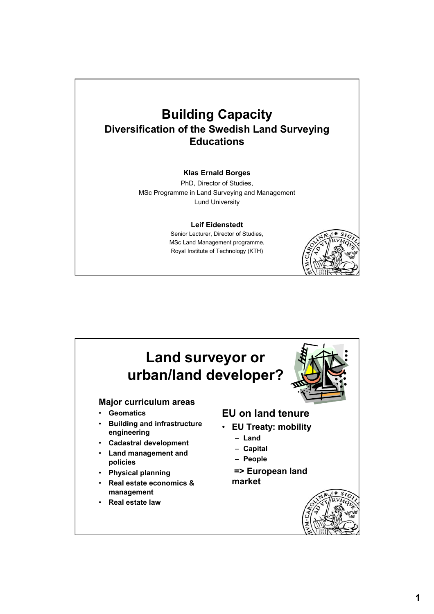### **Building Capacity Diversification of the Swedish Land Surveying Educations**

#### **Klas Ernald Borges**

PhD, Director of Studies, MSc Programme in Land Surveying and Management Lund University

#### **Leif Eidenstedt**

Senior Lecturer, Director of Studies, MSc Land Management programme, Royal Institute of Technology (KTH)



#### **Land surveyor or urban/land developer? Major curriculum areas** • **Geomatics** • **Building and infrastructure engineering** • **Cadastral development** • **Land management and policies** • **Physical planning** • **Real estate economics & management**  • **Real estate law EU on land tenure** • **EU Treaty: mobility** – **Land** – **Capital** – **People => European land market**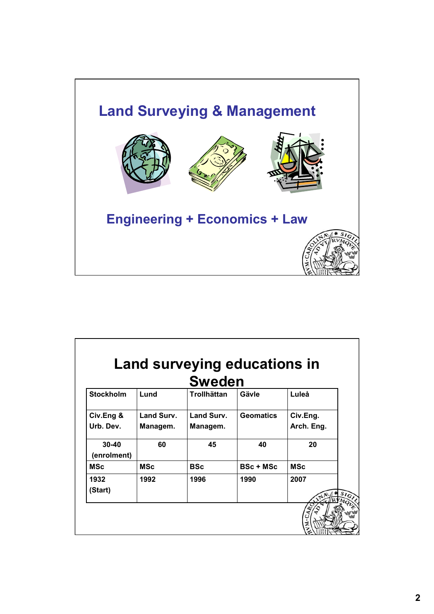

| <b>Sweden</b>            |            |                    |                  |            |
|--------------------------|------------|--------------------|------------------|------------|
| <b>Stockholm</b>         | Lund       | <b>Trollhättan</b> | Gävle            | Luleå      |
| Civ.Eng &                | Land Surv. | Land Surv.         | <b>Geomatics</b> | Civ.Eng.   |
| Urb. Dev.                | Managem.   | Managem.           |                  | Arch. Eng. |
| $30 - 40$<br>(enrolment) | 60         | 45                 | 40               | 20         |
| <b>MSc</b>               | <b>MSc</b> | <b>BSc</b>         | <b>BSc + MSc</b> | <b>MSc</b> |
| 1932<br>(Start)          | 1992       | 1996               | 1990             | 2007       |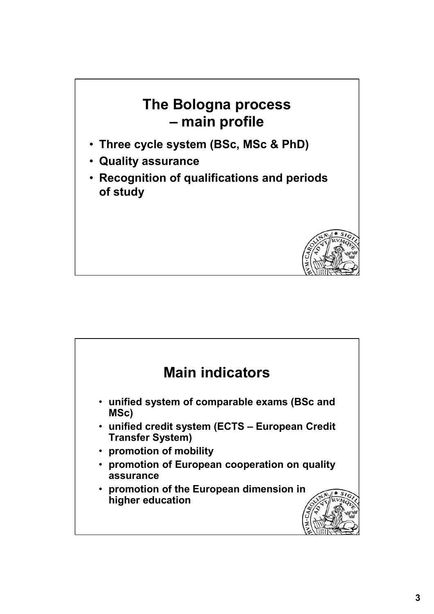## **The Bologna process – main profile**

- **Three cycle system (BSc, MSc & PhD)**
- **Quality assurance**
- **Recognition of qualifications and periods of study**



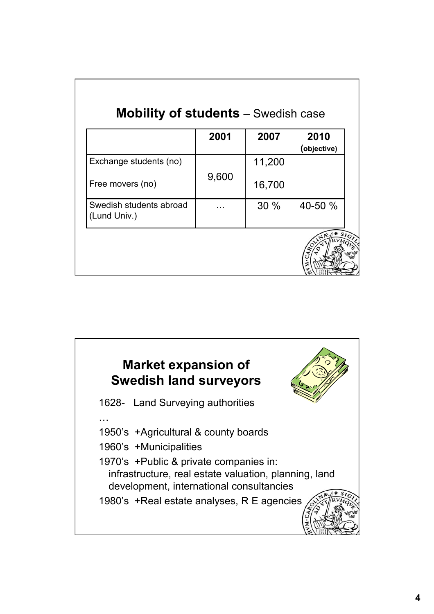|                                         | 2001  | 2007   | 2010<br>(objective) |
|-----------------------------------------|-------|--------|---------------------|
| Exchange students (no)                  | 9,600 | 11,200 |                     |
| Free movers (no)                        |       | 16,700 |                     |
| Swedish students abroad<br>(Lund Univ.) |       | 30%    | 40-50 %             |

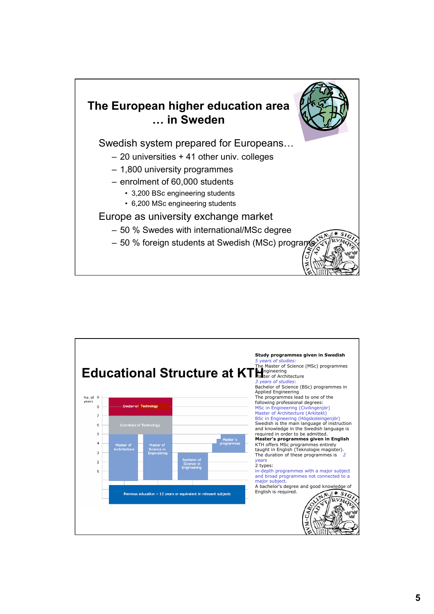

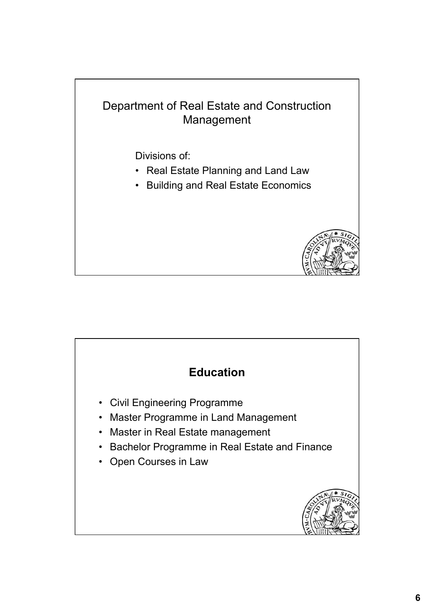# Department of Real Estate and Construction Management Divisions of:

- Real Estate Planning and Land Law
- Building and Real Estate Economics



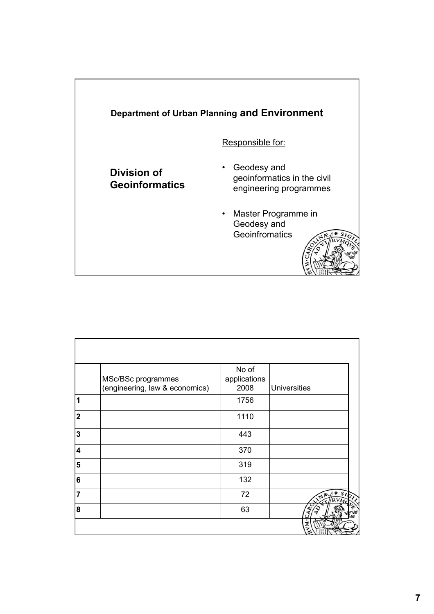

|                         | MSc/BSc programmes<br>(engineering, law & economics) | No of<br>applications<br>2008 | <b>Universities</b> |
|-------------------------|------------------------------------------------------|-------------------------------|---------------------|
| 1                       |                                                      | 1756                          |                     |
| $\mathbf 2$             |                                                      | 1110                          |                     |
| $\overline{\mathbf{3}}$ |                                                      | 443                           |                     |
| $\overline{\mathbf{4}}$ |                                                      | 370                           |                     |
| 5                       |                                                      | 319                           |                     |
| $6\phantom{1}$          |                                                      | 132                           |                     |
| $\overline{7}$          |                                                      | 72                            |                     |
| 8                       |                                                      | 63                            |                     |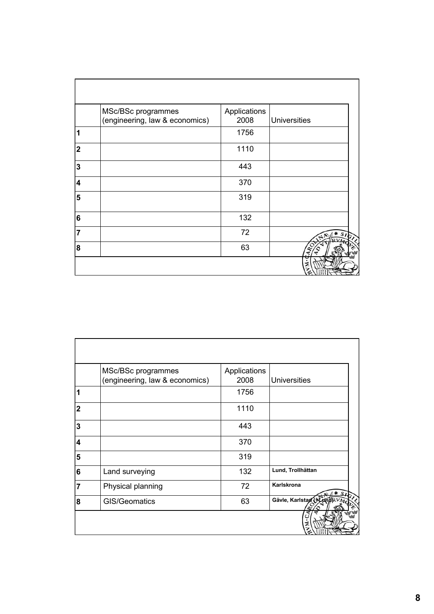|                | MSc/BSc programmes<br>(engineering, law & economics) | Applications<br>2008 | <b>Universities</b> |
|----------------|------------------------------------------------------|----------------------|---------------------|
| 1              |                                                      | 1756                 |                     |
| $\mathbf 2$    |                                                      | 1110                 |                     |
| 3              |                                                      | 443                  |                     |
| 4              |                                                      | 370                  |                     |
| 5              |                                                      | 319                  |                     |
| 6              |                                                      | 132                  |                     |
| $\overline{7}$ |                                                      | 72                   |                     |
| 8              |                                                      | 63                   |                     |
|                |                                                      |                      |                     |

|                | MSc/BSc programmes<br>(engineering, law & economics) | Applications<br>2008 | <b>Universities</b>     |
|----------------|------------------------------------------------------|----------------------|-------------------------|
| 1              |                                                      | 1756                 |                         |
| 2              |                                                      | 1110                 |                         |
| 3              |                                                      | 443                  |                         |
| 4              |                                                      | 370                  |                         |
| 5              |                                                      | 319                  |                         |
| 6              | Land surveying                                       | 132                  | Lund, Trollhättan       |
| $\overline{7}$ | Physical planning                                    | 72                   | Karlskrona              |
| 8              | GIS/Geomatics                                        | 63                   | Gävle, Karlstad (HandRV |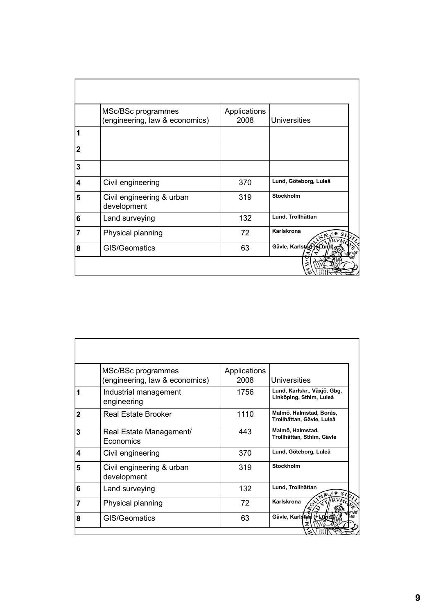|   | MSc/BSc programmes<br>(engineering, law & economics) | Applications<br>2008 | <b>Universities</b>   |
|---|------------------------------------------------------|----------------------|-----------------------|
|   |                                                      |                      |                       |
| 2 |                                                      |                      |                       |
| 3 |                                                      |                      |                       |
| 4 | Civil engineering                                    | 370                  | Lund, Göteborg, Luleå |
| 5 | Civil engineering & urban<br>development             | 319                  | <b>Stockholm</b>      |
| 6 | Land surveying                                       | 132                  | Lund, Trollhättan     |
| 7 | Physical planning                                    | 72                   | Karlskrona            |
| 8 | GIS/Geomatics                                        | 63                   | Gävle, Karlstag (AL)  |

|   | MSc/BSc programmes                       | Applications |                                                        |
|---|------------------------------------------|--------------|--------------------------------------------------------|
|   | (engineering, law & economics)           | 2008         | Universities                                           |
| 1 | Industrial management<br>engineering     | 1756         | Lund, Karlskr., Växjö, Gbg,<br>Linköping, Sthlm, Luleå |
| 2 | <b>Real Estate Brooker</b>               | 1110         | Malmö, Halmstad, Borås,<br>Trollhättan, Gävle, Luleå   |
| 3 | Real Estate Management/<br>Economics     | 443          | Malmö, Halmstad,<br>Trollhättan, Sthlm, Gävle          |
| 4 | Civil engineering                        | 370          | Lund, Göteborg, Luleå                                  |
| 5 | Civil engineering & urban<br>development | 319          | Stockholm                                              |
| 6 | Land surveying                           | 132          | Lund, Trollhättan                                      |
| 7 | Physical planning                        | 72           | Karlskrona                                             |
| 8 | GIS/Geomatics                            | 63           | Gävle, Karlstad (+Lümd)                                |